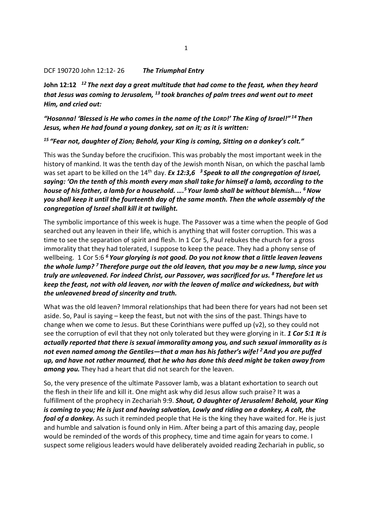#### DCF 190720 John 12:12-26 The Triumphal Entry

John 12:12  $12$  The next day a great multitude that had come to the feast, when they heard that Jesus was coming to Jerusalem,  $^{13}$  took branches of palm trees and went out to meet Him, and cried out:

"Hosanna! 'Blessed is He who comes in the name of the LORD!' The King of Israel!"<sup>14</sup>Then Jesus, when He had found a young donkey, sat on it; as it is written:

#### <sup>15</sup> "Fear not, daughter of Zion; Behold, your King is coming, Sitting on a donkey's colt."

This was the Sunday before the crucifixion. This was probably the most important week in the history of mankind. It was the tenth day of the Jewish month Nisan, on which the paschal lamb was set apart to be killed on the 14<sup>th</sup> day. Ex 12:3,6 <sup>3</sup> Speak to all the congregation of Israel, saying: 'On the tenth of this month every man shall take for himself a lamb, according to the house of his father, a lamb for a household.  $....<sup>5</sup>$  Your lamb shall be without blemish....  $<sup>6</sup>$  Now</sup> you shall keep it until the fourteenth day of the same month. Then the whole assembly of the congregation of Israel shall kill it at twilight.

The symbolic importance of this week is huge. The Passover was a time when the people of God searched out any leaven in their life, which is anything that will foster corruption. This was a time to see the separation of spirit and flesh. In 1 Cor 5, Paul rebukes the church for a gross immorality that they had tolerated, I suppose to keep the peace. They had a phony sense of wellbeing. 1 Cor 5:6<sup>6</sup> Your glorying is not good. Do you not know that a little leaven leavens the whole lump?<sup>7</sup> Therefore purge out the old leaven, that you may be a new lump, since you truly are unleavened. For indeed Christ, our Passover, was sacrificed for us. <sup>8</sup>Therefore let us keep the feast, not with old leaven, nor with the leaven of malice and wickedness, but with the unleavened bread of sincerity and truth.

What was the old leaven? Immoral relationships that had been there for years had not been set aside. So, Paul is saying – keep the feast, but not with the sins of the past. Things have to change when we come to Jesus. But these Corinthians were puffed up  $(v2)$ , so they could not see the corruption of evil that they not only tolerated but they were glorying in it. 1 Cor 5:1 It is actually reported that there is sexual immorality among you, and such sexual immorality as is not even named among the Gentiles—that a man has his father's wife!  $^2$  And you are puffed up, and have not rather mourned, that he who has done this deed might be taken away from among you. They had a heart that did not search for the leaven.

So, the very presence of the ultimate Passover lamb, was a blatant exhortation to search out the flesh in their life and kill it. One might ask why did Jesus allow such praise? It was a fulfillment of the prophecy in Zechariah 9:9. Shout, O daughter of Jerusalem! Behold, your King is coming to you; He is just and having salvation, Lowly and riding on a donkey, A colt, the foal of a donkey. As such it reminded people that He is the king they have waited for. He is just and humble and salvation is found only in Him. After being a part of this amazing day, people would be reminded of the words of this prophecy, time and time again for years to come. I suspect some religious leaders would have deliberately avoided reading Zechariah in public, so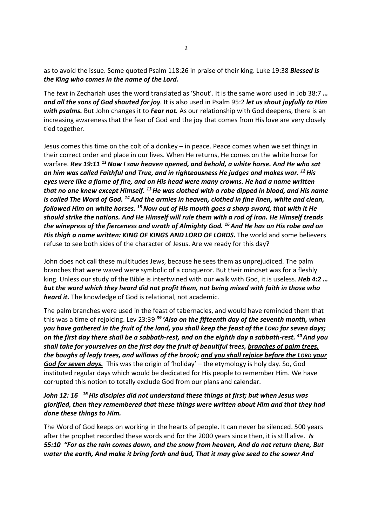as to avoid the issue. Some quoted Psalm 118:26 in praise of their king. Luke 19:38 **Blessed is** the King who comes in the name of the Lord.

The text in Zechariah uses the word translated as 'Shout'. It is the same word used in Job 38:7 … and all the sons of God shouted for joy. It is also used in Psalm 95:2 let us shout joyfully to Him with psalms. But John changes it to Fear not. As our relationship with God deepens, there is an increasing awareness that the fear of God and the joy that comes from His love are very closely tied together.

Jesus comes this time on the colt of a donkey – in peace. Peace comes when we set things in their correct order and place in our lives. When He returns, He comes on the white horse for warfare. Rev 19:11 <sup>11</sup> Now I saw heaven opened, and behold, a white horse. And He who sat on him was called Faithful and True, and in righteousness He judges and makes war.  $^{12}$  His eyes were like a flame of fire, and on His head were many crowns. He had a name written that no one knew except Himself.  $^{13}$  He was clothed with a robe dipped in blood, and His name is called The Word of God. <sup>14</sup> And the armies in heaven, clothed in fine linen, white and clean, followed Him on white horses.  $^{15}$  Now out of His mouth goes a sharp sword, that with it He should strike the nations. And He Himself will rule them with a rod of iron. He Himself treads the winepress of the fierceness and wrath of Almighty God.  $^{16}$  And He has on His robe and on His thigh a name written: KING OF KINGS AND LORD OF LORDS. The world and some believers refuse to see both sides of the character of Jesus. Are we ready for this day?

John does not call these multitudes Jews, because he sees them as unprejudiced. The palm branches that were waved were symbolic of a conqueror. But their mindset was for a fleshly king. Unless our study of the Bible is intertwined with our walk with God, it is useless. Heb 4:2 ... but the word which they heard did not profit them, not being mixed with faith in those who heard it. The knowledge of God is relational, not academic.

The palm branches were used in the feast of tabernacles, and would have reminded them that this was a time of rejoicing. Lev 23:39  $39$  'Also on the fifteenth day of the seventh month, when you have gathered in the fruit of the land, you shall keep the feast of the LORD for seven days; on the first day there shall be a sabbath-rest, and on the eighth day a sabbath-rest. <sup>40</sup> And you shall take for yourselves on the first day the fruit of beautiful trees, branches of palm trees, the boughs of leafy trees, and willows of the brook; and you shall rejoice before the LORD your God for seven days. This was the origin of 'holiday' - the etymology is holy day. So, God instituted regular days which would be dedicated for His people to remember Him. We have corrupted this notion to totally exclude God from our plans and calendar.

## John 12: 16  $16$  His disciples did not understand these things at first; but when Jesus was glorified, then they remembered that these things were written about Him and that they had done these things to Him.

The Word of God keeps on working in the hearts of people. It can never be silenced. 500 years after the prophet recorded these words and for the 2000 years since then, it is still alive. Is 55:10 "For as the rain comes down, and the snow from heaven, And do not return there, But water the earth, And make it bring forth and bud, That it may give seed to the sower And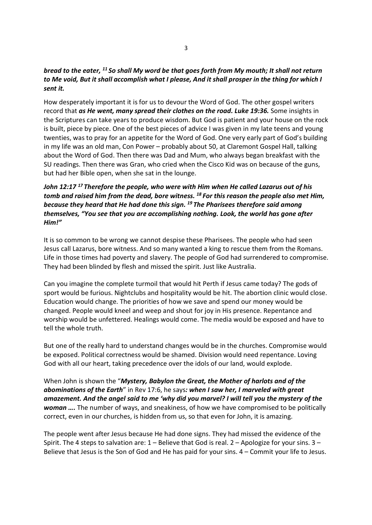# bread to the eater, <sup>11</sup> So shall My word be that goes forth from My mouth; It shall not return to Me void, But it shall accomplish what I please, And it shall prosper in the thing for which I sent it.

How desperately important it is for us to devour the Word of God. The other gospel writers record that as He went, many spread their clothes on the road. Luke 19:36. Some insights in the Scriptures can take years to produce wisdom. But God is patient and your house on the rock is built, piece by piece. One of the best pieces of advice I was given in my late teens and young twenties, was to pray for an appetite for the Word of God. One very early part of God's building in my life was an old man, Con Power – probably about 50, at Claremont Gospel Hall, talking about the Word of God. Then there was Dad and Mum, who always began breakfast with the SU readings. Then there was Gran, who cried when the Cisco Kid was on because of the guns, but had her Bible open, when she sat in the lounge.

# John 12:17<sup>17</sup> Therefore the people, who were with Him when He called Lazarus out of his tomb and raised him from the dead, bore witness.  $^{18}$  For this reason the people also met Him, because they heard that He had done this sign. <sup>19</sup> The Pharisees therefore said among themselves, "You see that you are accomplishing nothing. Look, the world has gone after Him!"

It is so common to be wrong we cannot despise these Pharisees. The people who had seen Jesus call Lazarus, bore witness. And so many wanted a king to rescue them from the Romans. Life in those times had poverty and slavery. The people of God had surrendered to compromise. They had been blinded by flesh and missed the spirit. Just like Australia.

Can you imagine the complete turmoil that would hit Perth if Jesus came today? The gods of sport would be furious. Nightclubs and hospitality would be hit. The abortion clinic would close. Education would change. The priorities of how we save and spend our money would be changed. People would kneel and weep and shout for joy in His presence. Repentance and worship would be unfettered. Healings would come. The media would be exposed and have to tell the whole truth.

But one of the really hard to understand changes would be in the churches. Compromise would be exposed. Political correctness would be shamed. Division would need repentance. Loving God with all our heart, taking precedence over the idols of our land, would explode.

When John is shown the "Mystery, Babylon the Great, the Mother of harlots and of the abominations of the Earth" in Rev 17:6, he says: when I saw her, I marveled with great amazement. And the angel said to me 'why did you marvel? I will tell you the mystery of the **woman** .... The number of ways, and sneakiness, of how we have compromised to be politically correct, even in our churches, is hidden from us, so that even for John, it is amazing.

The people went after Jesus because He had done signs. They had missed the evidence of the Spirit. The 4 steps to salvation are:  $1 -$  Believe that God is real.  $2 -$  Apologize for your sins.  $3 -$ Believe that Jesus is the Son of God and He has paid for your sins. 4 – Commit your life to Jesus.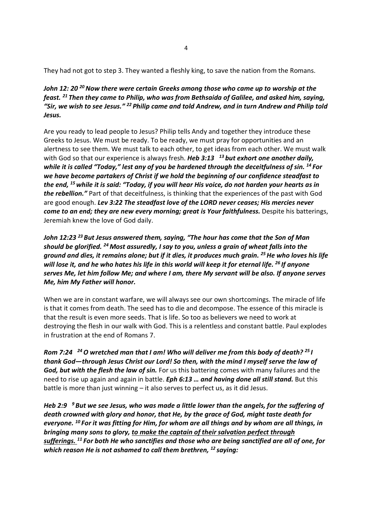They had not got to step 3. They wanted a fleshly king, to save the nation from the Romans.

John 12: 20<sup>20</sup> Now there were certain Greeks among those who came up to worship at the feast. <sup>21</sup> Then they came to Philip, who was from Bethsaida of Galilee, and asked him, saying, "Sir, we wish to see Jesus."  $^{22}$  Philip came and told Andrew, and in turn Andrew and Philip told Jesus.

Are you ready to lead people to Jesus? Philip tells Andy and together they introduce these Greeks to Jesus. We must be ready. To be ready, we must pray for opportunities and an alertness to see them. We must talk to each other, to get ideas from each other. We must walk with God so that our experience is always fresh. Heb 3:13  $13$  but exhort one another daily, while it is called "Today," lest any of you be hardened through the deceitfulness of sin. <sup>14</sup> For we have become partakers of Christ if we hold the beginning of our confidence steadfast to the end, <sup>15</sup> while it is said: "Today, if you will hear His voice, do not harden your hearts as in the rebellion." Part of that deceitfulness, is thinking that the experiences of the past with God are good enough. Lev 3:22 The steadfast love of the LORD never ceases: His mercies never come to an end; they are new every morning; great is Your faithfulness. Despite his batterings, Jeremiah knew the love of God daily.

John 12:23<sup>23</sup> But Jesus answered them, saying, "The hour has come that the Son of Man should be glorified. <sup>24</sup> Most assuredly, I say to you, unless a grain of wheat falls into the ground and dies, it remains alone; but if it dies, it produces much grain. <sup>25</sup> He who loves his life will lose it, and he who hates his life in this world will keep it for eternal life. <sup>26</sup> If anyone serves Me, let him follow Me; and where I am, there My servant will be also. If anyone serves Me, him My Father will honor.

When we are in constant warfare, we will always see our own shortcomings. The miracle of life is that it comes from death. The seed has to die and decompose. The essence of this miracle is that the result is even more seeds. That is life. So too as believers we need to work at destroying the flesh in our walk with God. This is a relentless and constant battle. Paul explodes in frustration at the end of Romans 7.

Rom 7:24  $^{24}$  O wretched man that I am! Who will deliver me from this body of death? <sup>25</sup> I thank God—through Jesus Christ our Lord! So then, with the mind I myself serve the law of God, but with the flesh the law of sin. For us this battering comes with many failures and the need to rise up again and again in battle. *Eph 6:13 ... and having done all still stand*. But this battle is more than just winning – it also serves to perfect us, as it did Jesus.

Heb 2:9  $\,$   $^{9}$  But we see Jesus, who was made a little lower than the angels, for the suffering of death crowned with glory and honor, that He, by the grace of God, might taste death for everyone.  $^{10}$  For it was fitting for Him, for whom are all things and by whom are all things, in bringing many sons to glory, to make the captain of their salvation perfect through sufferings.  $^{11}$  For both He who sanctifies and those who are being sanctified are all of one, for which reason He is not ashamed to call them brethren,  $^{12}$  savina: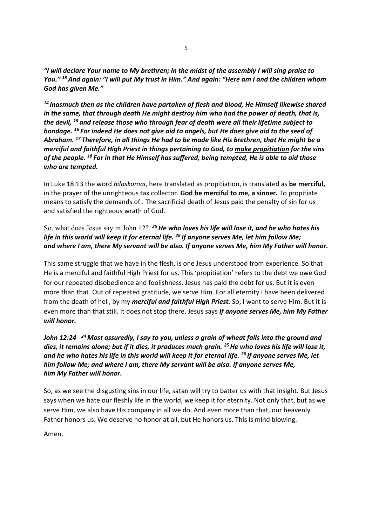"I will declare Your name to My brethren; In the midst of the assembly I will sing praise to You." <sup>13</sup> And again: "I will put My trust in Him." And again: "Here am I and the children whom God has given Me."

 $14$  Inasmuch then as the children have partaken of flesh and blood, He Himself likewise shared in the same, that through death He might destroy him who had the power of death, that is, the devil, <sup>15</sup> and release those who through fear of death were all their lifetime subject to bondage. <sup>16</sup> For indeed He does not give aid to angels, but He does give aid to the seed of Abraham. <sup>17</sup> Therefore, in all things He had to be made like His brethren, that He might be a merciful and faithful High Priest in things pertaining to God, to make propitiation for the sins of the people.  $^{18}$  For in that He Himself has suffered, being tempted, He is able to aid those who are tempted.

In Luke 18:13 the word *hilaskomai*, here translated as propitiation, is translated as be merciful, in the prayer of the unrighteous tax collector. God be merciful to me, a sinner. To propitiate means to satisfy the demands of.. The sacrificial death of Jesus paid the penalty of sin for us and satisfied the righteous wrath of God.

# So, what does Jesus say in John 12?  $25$  He who loves his life will lose it, and he who hates his life in this world will keep it for eternal life. <sup>26</sup> If anyone serves Me, let him follow Me; and where I am, there My servant will be also. If anyone serves Me, him My Father will honor.

This same struggle that we have in the flesh, is one Jesus understood from experience. So that He is a merciful and faithful High Priest for us. This 'propitiation' refers to the debt we owe God for our repeated disobedience and foolishness. Jesus has paid the debt for us. But it is even more than that. Out of repeated gratitude, we serve Him. For all eternity I have been delivered from the death of hell, by my *merciful and faithful High Priest*. So, I want to serve Him. But it is even more than that still. It does not stop there. Jesus says If anyone serves Me, him My Father will honor.

# John 12:24  $^{24}$  Most assuredly, I say to you, unless a grain of wheat falls into the ground and dies, it remains alone; but if it dies, it produces much grain. <sup>25</sup> He who loves his life will lose it, and he who hates his life in this world will keep it for eternal life.  $^{26}$  If anyone serves Me, let him follow Me; and where I am, there My servant will be also. If anyone serves Me, him My Father will honor.

So, as we see the disgusting sins in our life, satan will try to batter us with that insight. But Jesus says when we hate our fleshly life in the world, we keep it for eternity. Not only that, but as we serve Him, we also have His company in all we do. And even more than that, our heavenly Father honors us. We deserve no honor at all, but He honors us. This is mind blowing.

Amen.